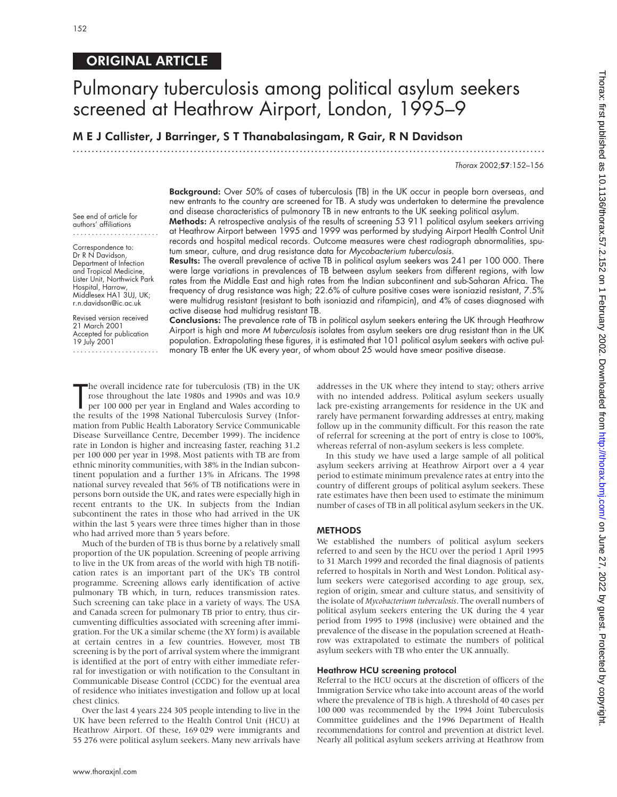#### ORIGINAL ARTICLE

## Pulmonary tuberculosis among political asylum seekers screened at Heathrow Airport, London, 1995-9

M E J Callister, J Barringer, S T Thanabalasingam, R Gair, R N Davidson

.............................................................................................................................

Thorax 2002;57:152–156

Background: Over 50% of cases of tuberculosis (TB) in the UK occur in people born overseas, and new entrants to the country are screened for TB. A study was undertaken to determine the prevalence and disease characteristics of pulmonary TB in new entrants to the UK seeking political asylum.

See end of article for authors' affiliations .......................

Correspondence to: Dr R N Davidson, Department of Infection and Tropical Medicine, Lister Unit, Northwick Park Hospital, Harrow, Middlesex HA1 3UJ, UK; r.n.davidson@ic.ac.uk

Revised version received 21 March 2001 Accepted for publication 19 July 2001 .......................

Methods: A retrospective analysis of the results of screening 53 911 political asylum seekers arriving at Heathrow Airport between 1995 and 1999 was performed by studying Airport Health Control Unit records and hospital medical records. Outcome measures were chest radiograph abnormalities, sputum smear, culture, and drug resistance data for Mycobacterium tuberculosis.

Results: The overall prevalence of active TB in political asylum seekers was 241 per 100 000. There were large variations in prevalences of TB between asylum seekers from different regions, with low rates from the Middle East and high rates from the Indian subcontinent and sub-Saharan Africa. The frequency of drug resistance was high; 22.6% of culture positive cases were isoniazid resistant, 7.5% were multidrug resistant (resistant to both isoniazid and rifampicin), and 4% of cases diagnosed with active disease had multidrug resistant TB.

Conclusions: The prevalence rate of TB in political asylum seekers entering the UK through Heathrow Airport is high and more M tuberculosis isolates from asylum seekers are drug resistant than in the UK population. Extrapolating these figures, it is estimated that 101 political asylum seekers with active pulmonary TB enter the UK every year, of whom about 25 would have smear positive disease.

The overall incidence rate for tuberculosis (TB) in the UK<br>
rose throughout the late 1980s and 1990s and was 10.9<br>
per 100 000 per year in England and Wales according to<br>
the results of the 1998 National Tuberculosis Surve he overall incidence rate for tuberculosis (TB) in the UK rose throughout the late 1980s and 1990s and was 10.9 per 100 000 per year in England and Wales according to mation from Public Health Laboratory Service Communicable Disease Surveillance Centre, December 1999). The incidence rate in London is higher and increasing faster, reaching 31.2 per 100 000 per year in 1998. Most patients with TB are from ethnic minority communities, with 38% in the Indian subcontinent population and a further 13% in Africans. The 1998 national survey revealed that 56% of TB notifications were in persons born outside the UK, and rates were especially high in recent entrants to the UK. In subjects from the Indian subcontinent the rates in those who had arrived in the UK within the last 5 years were three times higher than in those who had arrived more than 5 years before.

Much of the burden of TB is thus borne by a relatively small proportion of the UK population. Screening of people arriving to live in the UK from areas of the world with high TB notification rates is an important part of the UK's TB control programme. Screening allows early identification of active pulmonary TB which, in turn, reduces transmission rates. Such screening can take place in a variety of ways. The USA and Canada screen for pulmonary TB prior to entry, thus circumventing difficulties associated with screening after immigration. For the UK a similar scheme (the XY form) is available at certain centres in a few countries. However, most TB screening is by the port of arrival system where the immigrant is identified at the port of entry with either immediate referral for investigation or with notification to the Consultant in Communicable Disease Control (CCDC) for the eventual area of residence who initiates investigation and follow up at local chest clinics.

Over the last 4 years 224 305 people intending to live in the UK have been referred to the Health Control Unit (HCU) at Heathrow Airport. Of these, 169 029 were immigrants and 55 276 were political asylum seekers. Many new arrivals have

addresses in the UK where they intend to stay; others arrive with no intended address. Political asylum seekers usually lack pre-existing arrangements for residence in the UK and rarely have permanent forwarding addresses at entry, making follow up in the community difficult. For this reason the rate of referral for screening at the port of entry is close to 100%, whereas referral of non-asylum seekers is less complete.

In this study we have used a large sample of all political asylum seekers arriving at Heathrow Airport over a 4 year period to estimate minimum prevalence rates at entry into the country of different groups of political asylum seekers. These rate estimates have then been used to estimate the minimum number of cases of TB in all political asylum seekers in the UK.

#### **METHODS**

We established the numbers of political asylum seekers referred to and seen by the HCU over the period 1 April 1995 to 31 March 1999 and recorded the final diagnosis of patients referred to hospitals in North and West London. Political asylum seekers were categorised according to age group, sex, region of origin, smear and culture status, and sensitivity of the isolate of *Mycobacterium tuberculosis*. The overall numbers of political asylum seekers entering the UK during the 4 year period from 1995 to 1998 (inclusive) were obtained and the prevalence of the disease in the population screened at Heathrow was extrapolated to estimate the numbers of political asylum seekers with TB who enter the UK annually.

#### Heathrow HCU screening protocol

Referral to the HCU occurs at the discretion of officers of the Immigration Service who take into account areas of the world where the prevalence of TB is high. A threshold of 40 cases per 100 000 was recommended by the 1994 Joint Tuberculosis Committee guidelines and the 1996 Department of Health recommendations for control and prevention at district level. Nearly all political asylum seekers arriving at Heathrow from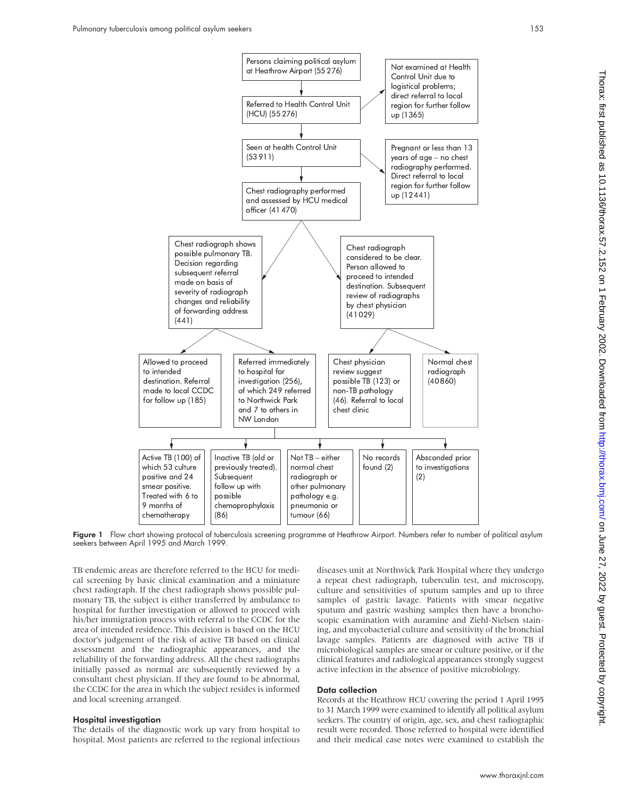

Figure 1 Flow chart showing protocol of tuberculosis screening programme at Heathrow Airport. Numbers refer to number of political asylum seekers between April 1995 and March 1999.

TB endemic areas are therefore referred to the HCU for medical screening by basic clinical examination and a miniature chest radiograph. If the chest radiograph shows possible pulmonary TB, the subject is either transferred by ambulance to hospital for further investigation or allowed to proceed with his/her immigration process with referral to the CCDC for the area of intended residence. This decision is based on the HCU doctor's judgement of the risk of active TB based on clinical assessment and the radiographic appearances, and the reliability of the forwarding address. All the chest radiographs initially passed as normal are subsequently reviewed by a consultant chest physician. If they are found to be abnormal, the CCDC for the area in which the subject resides is informed and local screening arranged.

#### Hospital investigation

The details of the diagnostic work up vary from hospital to hospital. Most patients are referred to the regional infectious diseases unit at Northwick Park Hospital where they undergo a repeat chest radiograph, tuberculin test, and microscopy, culture and sensitivities of sputum samples and up to three samples of gastric lavage. Patients with smear negative sputum and gastric washing samples then have a bronchoscopic examination with auramine and Ziehl-Nielsen staining, and mycobacterial culture and sensitivity of the bronchial lavage samples. Patients are diagnosed with active TB if microbiological samples are smear or culture positive, or if the clinical features and radiological appearances strongly suggest active infection in the absence of positive microbiology.

#### Data collection

Records at the Heathrow HCU covering the period 1 April 1995 to 31 March 1999 were examined to identify all political asylum seekers. The country of origin, age, sex, and chest radiographic result were recorded. Those referred to hospital were identified and their medical case notes were examined to establish the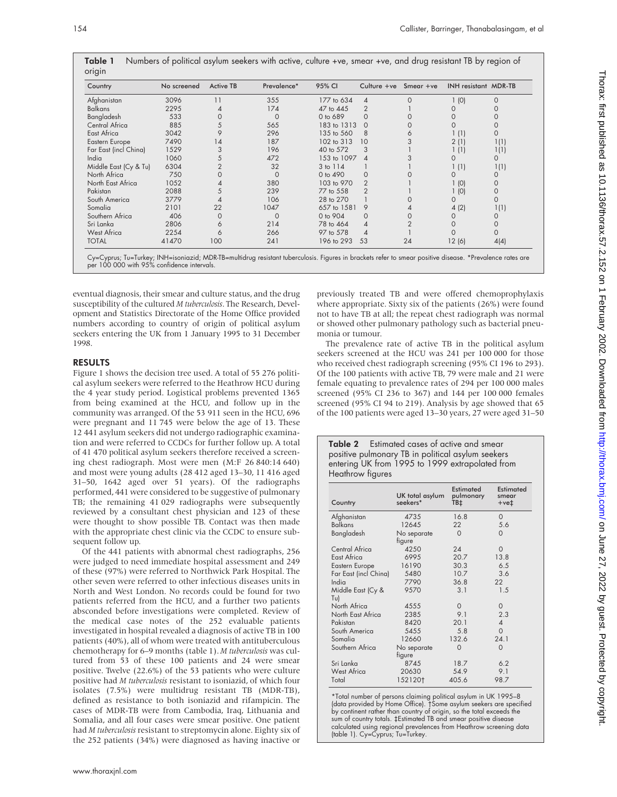Table 1 Numbers of political asylum seekers with active, culture +ve, smear +ve, and drug resistant TB by region of  $\overline{O}$ 

| Country               | No screened | <b>Active TB</b> | Prevalence* | 95% CI       | Culture $+ve$  | $S$ mear $+ve$ | <b>INH resistant MDR-TB</b> |          |
|-----------------------|-------------|------------------|-------------|--------------|----------------|----------------|-----------------------------|----------|
| Afghanistan           | 3096        | 11               | 355         | 177 to 634   | 4              | $\Omega$       | 1(0)                        | $\Omega$ |
| <b>Balkans</b>        | 2295        |                  | 174         | 47 to 445    | 2              |                |                             |          |
| Bangladesh            | 533         |                  | $\Omega$    | 0 to 689     | $\Omega$       |                |                             |          |
| Central Africa        | 885         |                  | 565         | 183 to 1313  | $\Omega$       |                |                             | 0        |
| East Africa           | 3042        | 9                | 296         | 135 to 560   | 8              | 6              | 1 (1)                       | $\Omega$ |
| Eastern Europe        | 7490        | 14               | 187         | 102 to 313   | 10             |                | 2(1)                        | 1(1)     |
| Far East (incl China) | 1529        | 3                | 196         | 40 to 572    | 3              |                | 1 (1)                       | 1(1)     |
| India                 | 1060        | 5                | 472         | 153 to 1097  | ◢              |                | $\Omega$                    | $\Omega$ |
| Middle East (Cy & Tu) | 6304        |                  | 32          | 3 to 114     |                |                | 1(1)                        | 1(1)     |
| North Africa          | 750         |                  | $\Omega$    | $0$ to $490$ | O              |                | 0                           | 0        |
| North East Africa     | 1052        |                  | 380         | 103 to 970   | $\overline{2}$ |                | (0)                         | $\Omega$ |
| Pakistan              | 2088        |                  | 239         | 77 to 558    | $\mathcal{P}$  |                | (0)                         | $\Omega$ |
| South America         | 3779        |                  | 106         | 28 to 270    |                |                | 0                           | $\Omega$ |
| Somalia               | 2101        | 22               | 1047        | 657 to 1581  | 9              |                | 4(2)                        | 1(1)     |
| Southern Africa       | 406         | $\Omega$         | $\Omega$    | 0 to 904     | $\Omega$       |                |                             | 0        |
| Sri Lanka             | 2806        | 6                | 214         | 78 to 464    | 4              |                |                             | $\Omega$ |
| <b>West Africa</b>    | 2254        | 6                | 266         | 97 to 578    | 4              |                |                             | $\Omega$ |
| <b>TOTAL</b>          | 41470       | 100              | 241         | 196 to 293   | 53             | 24             | 12 (6)                      | 4(4)     |

eventual diagnosis, their smear and culture status, and the drug susceptibility of the cultured *M tuberculosis*. The Research, Development and Statistics Directorate of the Home Office provided numbers according to country of origin of political asylum seekers entering the UK from 1 January 1995 to 31 December 1998.

#### RESULTS

Figure 1 shows the decision tree used. A total of 55 276 political asylum seekers were referred to the Heathrow HCU during the 4 year study period. Logistical problems prevented 1365 from being examined at the HCU, and follow up in the community was arranged. Of the 53 911 seen in the HCU, 696 were pregnant and 11 745 were below the age of 13. These 12 441 asylum seekers did not undergo radiographic examination and were referred to CCDCs for further follow up. A total of 41 470 political asylum seekers therefore received a screening chest radiograph. Most were men (M:F 26 840:14 640) and most were young adults (28 412 aged 13–30, 11 416 aged 31–50, 1642 aged over 51 years). Of the radiographs performed, 441 were considered to be suggestive of pulmonary TB; the remaining 41 029 radiographs were subsequently reviewed by a consultant chest physician and 123 of these were thought to show possible TB. Contact was then made with the appropriate chest clinic via the CCDC to ensure subsequent follow up.

Of the 441 patients with abnormal chest radiographs, 256 were judged to need immediate hospital assessment and 249 of these (97%) were referred to Northwick Park Hospital. The other seven were referred to other infectious diseases units in North and West London. No records could be found for two patients referred from the HCU, and a further two patients absconded before investigations were completed. Review of the medical case notes of the 252 evaluable patients investigated in hospital revealed a diagnosis of active TB in 100 patients (40%), all of whom were treated with antituberculous chemotherapy for 6–9 months (table 1). *M tuberculosis* was cultured from 53 of these 100 patients and 24 were smear positive. Twelve (22.6%) of the 53 patients who were culture positive had *M tuberculosis* resistant to isoniazid, of which four isolates (7.5%) were multidrug resistant TB (MDR-TB), defined as resistance to both isoniazid and rifampicin. The cases of MDR-TB were from Cambodia, Iraq, Lithuania and Somalia, and all four cases were smear positive. One patient had *M tuberculosis* resistant to streptomycin alone. Eighty six of the 252 patients (34%) were diagnosed as having inactive or

previously treated TB and were offered chemoprophylaxis where appropriate. Sixty six of the patients (26%) were found not to have TB at all; the repeat chest radiograph was normal or showed other pulmonary pathology such as bacterial pneumonia or tumour.

The prevalence rate of active TB in the political asylum seekers screened at the HCU was 241 per 100 000 for those who received chest radiograph screening (95% CI 196 to 293). Of the 100 patients with active TB, 79 were male and 21 were female equating to prevalence rates of 294 per 100 000 males screened (95% CI 236 to 367) and 144 per 100 000 females screened (95% CI 94 to 219). Analysis by age showed that 65 of the 100 patients were aged 13–30 years, 27 were aged 31–50

|                  | <b>Table 2</b> Estimated cases of active and smear |
|------------------|----------------------------------------------------|
|                  | positive pulmonary TB in political asylum seekers  |
|                  | entering UK from 1995 to 1999 extrapolated from    |
| Heathrow figures |                                                    |
|                  |                                                    |

| Country                  | UK total asylum<br>seekers* | Estimated<br>pulmonary<br>TB‡ | Estimated<br>smear<br>$+ve†$ |
|--------------------------|-----------------------------|-------------------------------|------------------------------|
| Afghanistan              | 4735                        | 16.8                          | $\Omega$                     |
| <b>Balkans</b>           | 12645                       | 22                            | 5.6                          |
| Bangladesh               | No separate<br>figure       | $\Omega$                      | 0                            |
| Central Africa           | 4250                        | 24                            | O                            |
| East Africa              | 6995                        | 20.7                          | 13.8                         |
| Eastern Europe           | 16190                       | 30.3                          | 6.5                          |
| Far East (incl China)    | 5480                        | 10.7                          | 3.6                          |
| India                    | 7790                        | 36.8                          | 22                           |
| Middle East (Cy &<br>Tu) | 9570                        | 3.1                           | 1.5                          |
| North Africa             | 4555                        | $\Omega$                      | 0                            |
| North East Africa        | 2385                        | 9.1                           | 2.3                          |
| Pakistan                 | 8420                        | 20.1                          | 4                            |
| South America            | 5455                        | 5.8                           | $\Omega$                     |
| Somalia                  | 12660                       | 132.6                         | 24.1                         |
| Southern Africa          | No separate<br>tigure       | $\Omega$                      | $\Omega$                     |
| Sri Lanka                | 8745                        | 18.7                          | 6.2                          |
| <b>West Africa</b>       | 20630                       | 54.9                          | 9.1                          |
| Total                    | 1521201                     | 405.6                         | 98.7                         |

\*Total number of persons claiming political asylum in UK 1995–8 (data provided by Home Office). †Some asylum seekers are specified by continent rather than country of origin, so the total exceeds the sum of country totals. ‡Estimated TB and smear positive disease calculated using regional prevalences from Heathrow screening data (table 1). Cy=Cyprus; Tu=Turkey.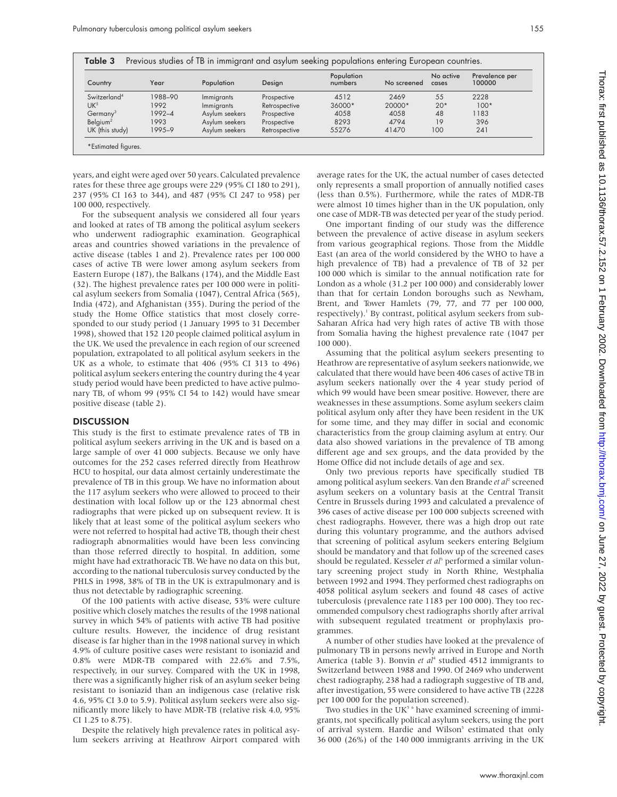| Country                  | Year    | Population     | Design        | Population<br>numbers | No screened | No active<br>cases | Prevalence per<br>100000 |
|--------------------------|---------|----------------|---------------|-----------------------|-------------|--------------------|--------------------------|
| Switzerland <sup>4</sup> | 1988-90 | Immigrants     | Prospective   | 4512                  | 2469        | 55                 | 2228                     |
| UK <sup>5</sup>          | 1992    | Immigrants     | Retrospective | 36000*                | 20000*      | $20*$              | $100*$                   |
| Germany <sup>3</sup>     | 1992-4  | Asylum seekers | Prospective   | 4058                  | 4058        | 48                 | 1183                     |
| Belgium <sup>2</sup>     | 1993    | Asylum seekers | Prospective   | 8293                  | 4794        | 19                 | 396                      |
| UK (this study)          | 1995-9  | Asylum seekers | Retrospective | 55276                 | 41470       | 100                | 241                      |

years, and eight were aged over 50 years. Calculated prevalence rates for these three age groups were 229 (95% CI 180 to 291), 237 (95% CI 163 to 344), and 487 (95% CI 247 to 958) per 100 000, respectively.

For the subsequent analysis we considered all four years and looked at rates of TB among the political asylum seekers who underwent radiographic examination. Geographical areas and countries showed variations in the prevalence of active disease (tables 1 and 2). Prevalence rates per 100 000 cases of active TB were lower among asylum seekers from Eastern Europe (187), the Balkans (174), and the Middle East (32). The highest prevalence rates per 100 000 were in political asylum seekers from Somalia (1047), Central Africa (565), India (472), and Afghanistan (355). During the period of the study the Home Office statistics that most closely corresponded to our study period (1 January 1995 to 31 December 1998), showed that 152 120 people claimed political asylum in the UK. We used the prevalence in each region of our screened population, extrapolated to all political asylum seekers in the UK as a whole, to estimate that 406 (95% CI 313 to 496) political asylum seekers entering the country during the 4 year study period would have been predicted to have active pulmonary TB, of whom 99 (95% CI 54 to 142) would have smear positive disease (table 2).

#### **DISCUSSION**

This study is the first to estimate prevalence rates of TB in political asylum seekers arriving in the UK and is based on a large sample of over 41 000 subjects. Because we only have outcomes for the 252 cases referred directly from Heathrow HCU to hospital, our data almost certainly underestimate the prevalence of TB in this group. We have no information about the 117 asylum seekers who were allowed to proceed to their destination with local follow up or the 123 abnormal chest radiographs that were picked up on subsequent review. It is likely that at least some of the political asylum seekers who were not referred to hospital had active TB, though their chest radiograph abnormalities would have been less convincing than those referred directly to hospital. In addition, some might have had extrathoracic TB. We have no data on this but, according to the national tuberculosis survey conducted by the PHLS in 1998, 38% of TB in the UK is extrapulmonary and is thus not detectable by radiographic screening.

Of the 100 patients with active disease, 53% were culture positive which closely matches the results of the 1998 national survey in which 54% of patients with active TB had positive culture results. However, the incidence of drug resistant disease is far higher than in the 1998 national survey in which 4.9% of culture positive cases were resistant to isoniazid and 0.8% were MDR-TB compared with 22.6% and 7.5%, respectively, in our survey. Compared with the UK in 1998, there was a significantly higher risk of an asylum seeker being resistant to isoniazid than an indigenous case (relative risk 4.6, 95% CI 3.0 to 5.9). Political asylum seekers were also significantly more likely to have MDR-TB (relative risk 4.0, 95% CI 1.25 to 8.75).

Despite the relatively high prevalence rates in political asylum seekers arriving at Heathrow Airport compared with average rates for the UK, the actual number of cases detected only represents a small proportion of annually notified cases (less than 0.5%). Furthermore, while the rates of MDR-TB were almost 10 times higher than in the UK population, only one case of MDR-TB was detected per year of the study period.

One important finding of our study was the difference between the prevalence of active disease in asylum seekers from various geographical regions. Those from the Middle East (an area of the world considered by the WHO to have a high prevalence of TB) had a prevalence of TB of 32 per 100 000 which is similar to the annual notification rate for London as a whole (31.2 per 100 000) and considerably lower than that for certain London boroughs such as Newham, Brent, and Tower Hamlets (79, 77, and 77 per 100 000, respectively).<sup>1</sup> By contrast, political asylum seekers from sub-Saharan Africa had very high rates of active TB with those from Somalia having the highest prevalence rate (1047 per 100 000).

Assuming that the political asylum seekers presenting to Heathrow are representative of asylum seekers nationwide, we calculated that there would have been 406 cases of active TB in asylum seekers nationally over the 4 year study period of which 99 would have been smear positive. However, there are weaknesses in these assumptions. Some asylum seekers claim political asylum only after they have been resident in the UK for some time, and they may differ in social and economic characteristics from the group claiming asylum at entry. Our data also showed variations in the prevalence of TB among different age and sex groups, and the data provided by the Home Office did not include details of age and sex.

Only two previous reports have specifically studied TB among political asylum seekers. Van den Brande *et al*<sup>2</sup> screened asylum seekers on a voluntary basis at the Central Transit Centre in Brussels during 1993 and calculated a prevalence of 396 cases of active disease per 100 000 subjects screened with chest radiographs. However, there was a high drop out rate during this voluntary programme, and the authors advised that screening of political asylum seekers entering Belgium should be mandatory and that follow up of the screened cases should be regulated. Kesseler *et al*<sup>3</sup> performed a similar voluntary screening project study in North Rhine, Westphalia between 1992 and 1994. They performed chest radiographs on 4058 political asylum seekers and found 48 cases of active tuberculosis (prevalence rate 1183 per 100 000). They too recommended compulsory chest radiographs shortly after arrival with subsequent regulated treatment or prophylaxis programmes.

A number of other studies have looked at the prevalence of pulmonary TB in persons newly arrived in Europe and North America (table 3). Bonvin *et al*<sup>4</sup> studied 4512 immigrants to Switzerland between 1988 and 1990. Of 2469 who underwent chest radiography, 238 had a radiograph suggestive of TB and, after investigation, 55 were considered to have active TB (2228 per 100 000 for the population screened).

Two studies in the UK<sup>5</sup> <sup>6</sup> have examined screening of immigrants, not specifically political asylum seekers, using the port of arrival system. Hardie and Wilson<sup>5</sup> estimated that only 36 000 (26%) of the 140 000 immigrants arriving in the UK